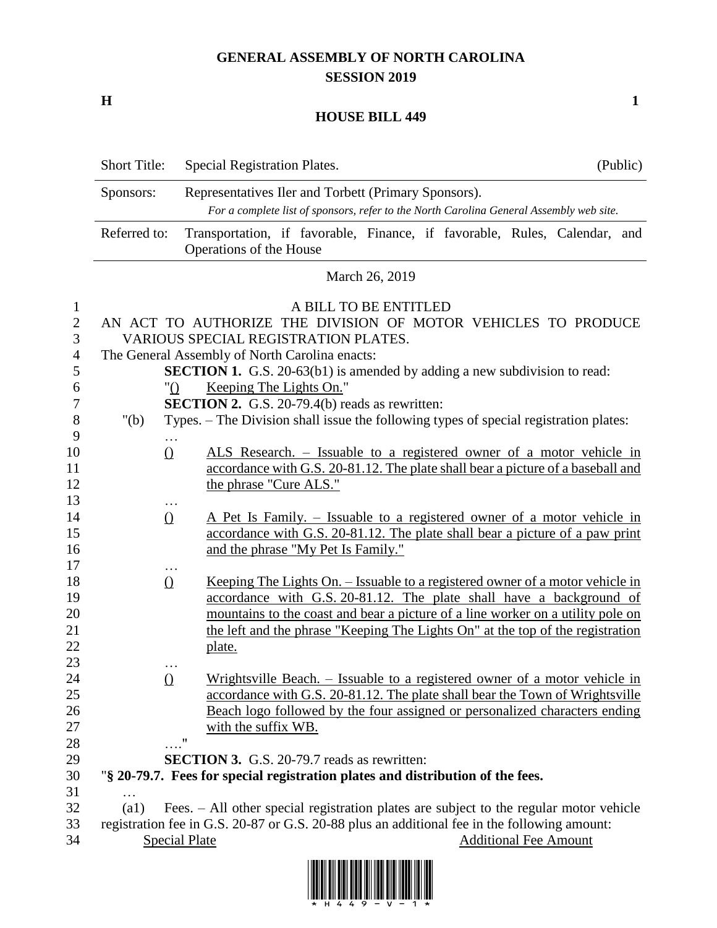## **GENERAL ASSEMBLY OF NORTH CAROLINA SESSION 2019**

**H 1**

## **HOUSE BILL 449**

|                                                                    | <b>Short Title:</b>                                                                                                                                                                                                                                                                                                                                             | (Public)<br>Special Registration Plates.                                                                                                                                                                                                                                                                                            |  |  |  |  |  |
|--------------------------------------------------------------------|-----------------------------------------------------------------------------------------------------------------------------------------------------------------------------------------------------------------------------------------------------------------------------------------------------------------------------------------------------------------|-------------------------------------------------------------------------------------------------------------------------------------------------------------------------------------------------------------------------------------------------------------------------------------------------------------------------------------|--|--|--|--|--|
|                                                                    | Sponsors:                                                                                                                                                                                                                                                                                                                                                       | Representatives Iler and Torbett (Primary Sponsors).                                                                                                                                                                                                                                                                                |  |  |  |  |  |
|                                                                    |                                                                                                                                                                                                                                                                                                                                                                 | For a complete list of sponsors, refer to the North Carolina General Assembly web site.                                                                                                                                                                                                                                             |  |  |  |  |  |
|                                                                    | Referred to:                                                                                                                                                                                                                                                                                                                                                    | Transportation, if favorable, Finance, if favorable, Rules, Calendar, and<br>Operations of the House                                                                                                                                                                                                                                |  |  |  |  |  |
|                                                                    | March 26, 2019                                                                                                                                                                                                                                                                                                                                                  |                                                                                                                                                                                                                                                                                                                                     |  |  |  |  |  |
| $\mathbf{1}$<br>$\mathbf{2}$<br>3<br>$\overline{4}$<br>5<br>6<br>7 | A BILL TO BE ENTITLED<br>AN ACT TO AUTHORIZE THE DIVISION OF MOTOR VEHICLES TO PRODUCE<br>VARIOUS SPECIAL REGISTRATION PLATES.<br>The General Assembly of North Carolina enacts:<br><b>SECTION 1.</b> G.S. 20-63(b1) is amended by adding a new subdivision to read:<br>Keeping The Lights On."<br>"()<br><b>SECTION 2.</b> G.S. 20-79.4(b) reads as rewritten: |                                                                                                                                                                                                                                                                                                                                     |  |  |  |  |  |
| 8                                                                  | " $(b)$                                                                                                                                                                                                                                                                                                                                                         | Types. – The Division shall issue the following types of special registration plates:                                                                                                                                                                                                                                               |  |  |  |  |  |
| 9<br>10<br>11<br>12<br>13                                          | $\Omega$                                                                                                                                                                                                                                                                                                                                                        | ALS Research. – Issuable to a registered owner of a motor vehicle in<br>accordance with G.S. 20-81.12. The plate shall bear a picture of a baseball and<br>the phrase "Cure ALS."                                                                                                                                                   |  |  |  |  |  |
| 14<br>15<br>16                                                     | $\Omega$                                                                                                                                                                                                                                                                                                                                                        | A Pet Is Family. – Issuable to a registered owner of a motor vehicle in<br>accordance with G.S. 20-81.12. The plate shall bear a picture of a paw print<br>and the phrase "My Pet Is Family."                                                                                                                                       |  |  |  |  |  |
| 17<br>18<br>19<br>20<br>21<br>22<br>23                             | $\Omega$                                                                                                                                                                                                                                                                                                                                                        | Keeping The Lights On. – Issuable to a registered owner of a motor vehicle in<br>accordance with G.S. 20-81.12. The plate shall have a background of<br>mountains to the coast and bear a picture of a line worker on a utility pole on<br>the left and the phrase "Keeping The Lights On" at the top of the registration<br>plate. |  |  |  |  |  |
| 24<br>25<br>26<br>27<br>28                                         | $\Omega$                                                                                                                                                                                                                                                                                                                                                        | Wrightsville Beach. – Issuable to a registered owner of a motor vehicle in<br>accordance with G.S. 20-81.12. The plate shall bear the Town of Wrightsville<br>Beach logo followed by the four assigned or personalized characters ending<br>with the suffix WB.<br>$\ldots$ "                                                       |  |  |  |  |  |
| 29                                                                 |                                                                                                                                                                                                                                                                                                                                                                 | <b>SECTION 3.</b> G.S. 20-79.7 reads as rewritten:                                                                                                                                                                                                                                                                                  |  |  |  |  |  |
| 30                                                                 |                                                                                                                                                                                                                                                                                                                                                                 | "§ 20-79.7. Fees for special registration plates and distribution of the fees.                                                                                                                                                                                                                                                      |  |  |  |  |  |
| 31                                                                 |                                                                                                                                                                                                                                                                                                                                                                 |                                                                                                                                                                                                                                                                                                                                     |  |  |  |  |  |
| 32                                                                 | (a1)                                                                                                                                                                                                                                                                                                                                                            | Fees. - All other special registration plates are subject to the regular motor vehicle                                                                                                                                                                                                                                              |  |  |  |  |  |
| 33<br>34                                                           |                                                                                                                                                                                                                                                                                                                                                                 | registration fee in G.S. 20-87 or G.S. 20-88 plus an additional fee in the following amount:<br><b>Special Plate</b><br><b>Additional Fee Amount</b>                                                                                                                                                                                |  |  |  |  |  |

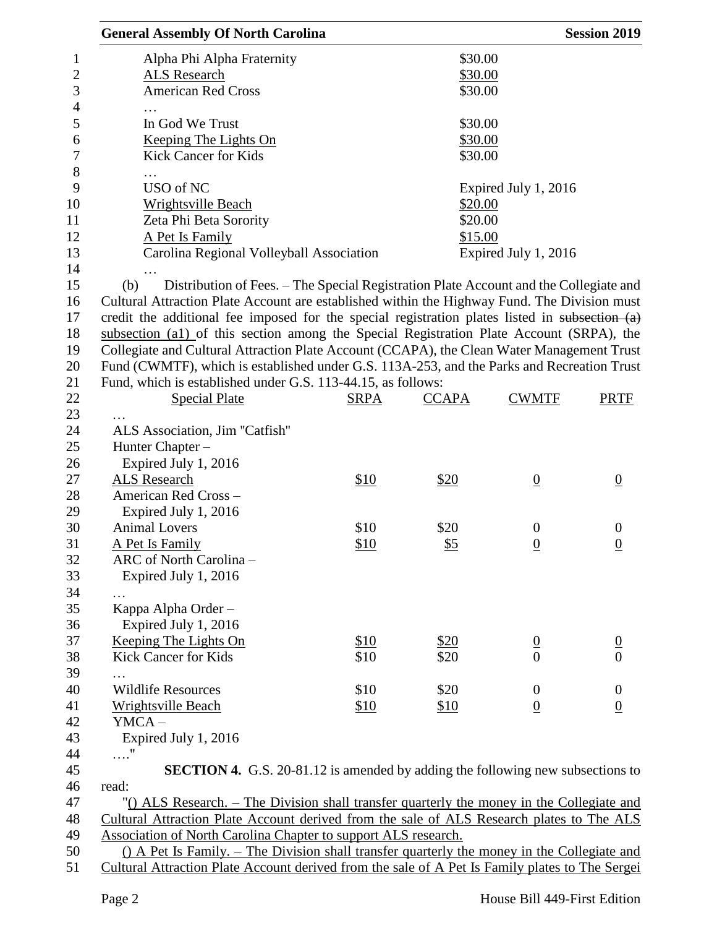| <b>General Assembly Of North Carolina</b>                                                       |             |                      |                      | <b>Session 2019</b> |
|-------------------------------------------------------------------------------------------------|-------------|----------------------|----------------------|---------------------|
| Alpha Phi Alpha Fraternity                                                                      |             | \$30.00              |                      |                     |
| <b>ALS Research</b>                                                                             |             | \$30.00              |                      |                     |
| <b>American Red Cross</b>                                                                       |             | \$30.00              |                      |                     |
|                                                                                                 |             |                      |                      |                     |
| In God We Trust                                                                                 |             | \$30.00              |                      |                     |
| Keeping The Lights On                                                                           |             | \$30.00              |                      |                     |
| <b>Kick Cancer for Kids</b>                                                                     |             | \$30.00              |                      |                     |
| .                                                                                               |             |                      |                      |                     |
| USO of NC                                                                                       |             |                      | Expired July 1, 2016 |                     |
| <b>Wrightsville Beach</b>                                                                       |             | \$20.00              |                      |                     |
| Zeta Phi Beta Sorority                                                                          |             | \$20.00              |                      |                     |
| A Pet Is Family                                                                                 | \$15.00     |                      |                      |                     |
| Carolina Regional Volleyball Association                                                        |             | Expired July 1, 2016 |                      |                     |
|                                                                                                 |             |                      |                      |                     |
| Distribution of Fees. – The Special Registration Plate Account and the Collegiate and<br>(b)    |             |                      |                      |                     |
| Cultural Attraction Plate Account are established within the Highway Fund. The Division must    |             |                      |                      |                     |
| credit the additional fee imposed for the special registration plates listed in subsection (a)  |             |                      |                      |                     |
| subsection (a1) of this section among the Special Registration Plate Account (SRPA), the        |             |                      |                      |                     |
| Collegiate and Cultural Attraction Plate Account (CCAPA), the Clean Water Management Trust      |             |                      |                      |                     |
| Fund (CWMTF), which is established under G.S. 113A-253, and the Parks and Recreation Trust      |             |                      |                      |                     |
| Fund, which is established under G.S. 113-44.15, as follows:                                    |             |                      |                      |                     |
| <b>Special Plate</b>                                                                            | <b>SRPA</b> | <b>CCAPA</b>         | <b>CWMTF</b>         | <b>PRTF</b>         |
|                                                                                                 |             |                      |                      |                     |
| ALS Association, Jim "Catfish"                                                                  |             |                      |                      |                     |
| Hunter Chapter -                                                                                |             |                      |                      |                     |
| Expired July 1, 2016                                                                            |             |                      |                      |                     |
| ALS Research                                                                                    | \$10        | \$20                 | $\underline{0}$      | $\overline{0}$      |
| American Red Cross-                                                                             |             |                      |                      |                     |
| Expired July 1, 2016                                                                            |             |                      |                      |                     |
| <b>Animal Lovers</b>                                                                            | \$10        | \$20                 | $\boldsymbol{0}$     | $\theta$            |
| A Pet Is Family                                                                                 | \$10        | <u>\$5</u>           | $\overline{0}$       | $\overline{0}$      |
| ARC of North Carolina -                                                                         |             |                      |                      |                     |
| Expired July 1, 2016                                                                            |             |                      |                      |                     |
| $\cdots$                                                                                        |             |                      |                      |                     |
| Kappa Alpha Order -                                                                             |             |                      |                      |                     |
| Expired July 1, 2016                                                                            |             |                      |                      |                     |
| <b>Keeping The Lights On</b>                                                                    | \$10        | \$20                 | $\frac{0}{0}$        |                     |
| <b>Kick Cancer for Kids</b>                                                                     | \$10        | \$20                 |                      | $\frac{0}{0}$       |
| .                                                                                               |             |                      |                      |                     |
| <b>Wildlife Resources</b>                                                                       | \$10        | \$20                 | $\overline{0}$       | $\boldsymbol{0}$    |
| Wrightsville Beach                                                                              | \$10        | \$10                 | $\underline{0}$      | $\underline{0}$     |
| $YMCA -$                                                                                        |             |                      |                      |                     |
| Expired July 1, 2016                                                                            |             |                      |                      |                     |
| $\ldots$ "                                                                                      |             |                      |                      |                     |
| <b>SECTION 4.</b> G.S. 20-81.12 is amended by adding the following new subsections to           |             |                      |                      |                     |
| read:                                                                                           |             |                      |                      |                     |
| "() ALS Research. – The Division shall transfer quarterly the money in the Collegiate and       |             |                      |                      |                     |
| Cultural Attraction Plate Account derived from the sale of ALS Research plates to The ALS       |             |                      |                      |                     |
| Association of North Carolina Chapter to support ALS research.                                  |             |                      |                      |                     |
| () A Pet Is Family. – The Division shall transfer quarterly the money in the Collegiate and     |             |                      |                      |                     |
| Cultural Attraction Plate Account derived from the sale of A Pet Is Family plates to The Sergei |             |                      |                      |                     |
|                                                                                                 |             |                      |                      |                     |